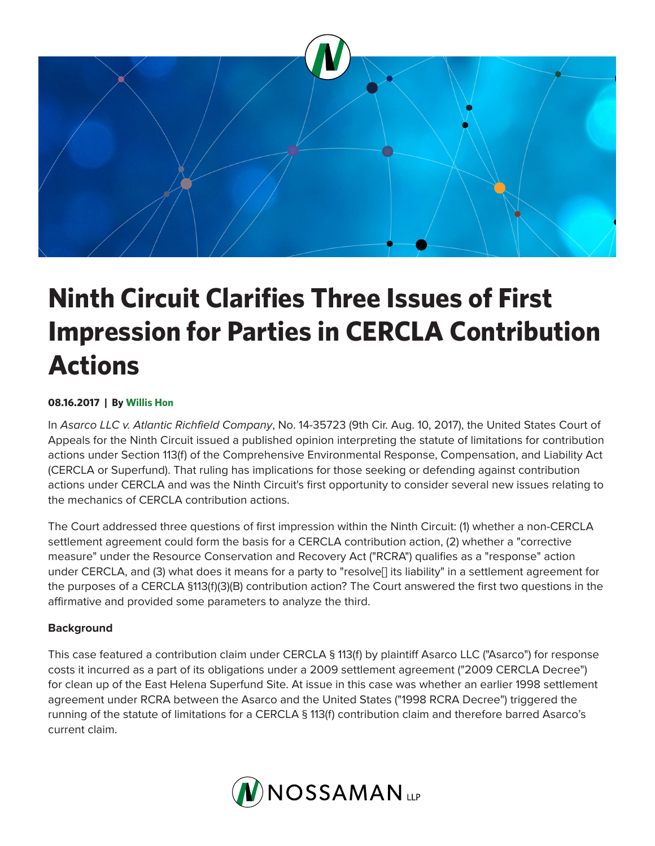

# **Ninth Circuit Clarifies Three Issues of First Impression for Parties in CERCLA Contribution Actions**

# **08.16.2017 | By Willis Hon**

In *Asarco LLC v. Atlantic Richfield Company*, No. 14-35723 (9th Cir. Aug. 10, 2017), the United States Court of Appeals for the Ninth Circuit issued a published opinion interpreting the statute of limitations for contribution actions under Section 113(f) of the Comprehensive Environmental Response, Compensation, and Liability Act (CERCLA or Superfund). That ruling has implications for those seeking or defending against contribution actions under CERCLA and was the Ninth Circuit's first opportunity to consider several new issues relating to the mechanics of CERCLA contribution actions.

The Court addressed three questions of first impression within the Ninth Circuit: (1) whether a non-CERCLA settlement agreement could form the basis for a CERCLA contribution action, (2) whether a "corrective measure" under the Resource Conservation and Recovery Act ("RCRA") qualifies as a "response" action under CERCLA, and (3) what does it means for a party to "resolve[] its liability" in a settlement agreement for the purposes of a CERCLA §113(f)(3)(B) contribution action? The Court answered the first two questions in the affirmative and provided some parameters to analyze the third.

#### **Background**

This case featured a contribution claim under CERCLA § 113(f) by plaintiff Asarco LLC ("Asarco") for response costs it incurred as a part of its obligations under a 2009 settlement agreement ("2009 CERCLA Decree") for clean up of the East Helena Superfund Site. At issue in this case was whether an earlier 1998 settlement agreement under RCRA between the Asarco and the United States ("1998 RCRA Decree") triggered the running of the statute of limitations for a CERCLA § 113(f) contribution claim and therefore barred Asarco's current claim.

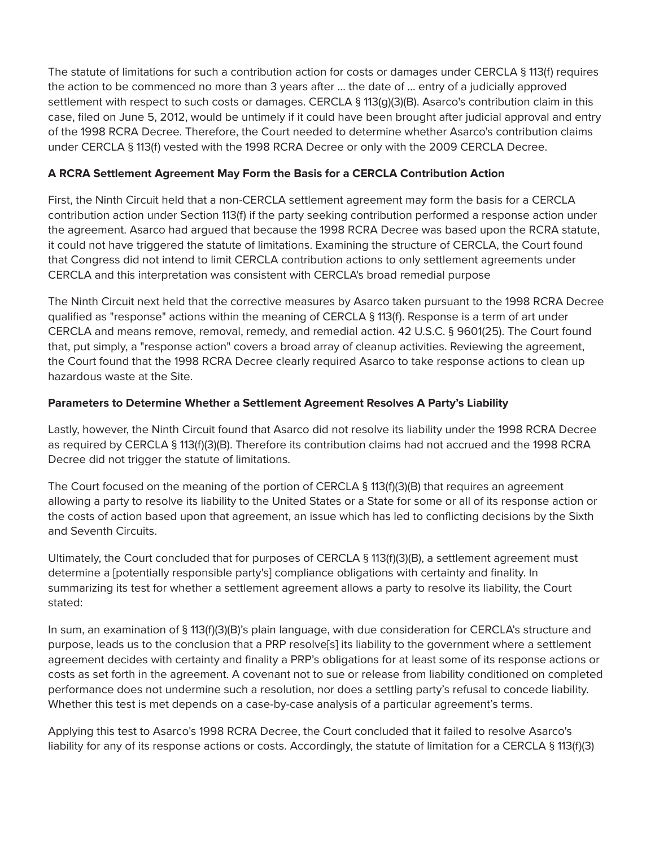The statute of limitations for such a contribution action for costs or damages under CERCLA § 113(f) requires the action to be commenced no more than 3 years after … the date of … entry of a judicially approved settlement with respect to such costs or damages. CERCLA § 113(g)(3)(B). Asarco's contribution claim in this case, filed on June 5, 2012, would be untimely if it could have been brought after judicial approval and entry of the 1998 RCRA Decree. Therefore, the Court needed to determine whether Asarco's contribution claims under CERCLA § 113(f) vested with the 1998 RCRA Decree or only with the 2009 CERCLA Decree.

## **A RCRA Settlement Agreement May Form the Basis for a CERCLA Contribution Action**

First, the Ninth Circuit held that a non-CERCLA settlement agreement may form the basis for a CERCLA contribution action under Section 113(f) if the party seeking contribution performed a response action under the agreement. Asarco had argued that because the 1998 RCRA Decree was based upon the RCRA statute, it could not have triggered the statute of limitations. Examining the structure of CERCLA, the Court found that Congress did not intend to limit CERCLA contribution actions to only settlement agreements under CERCLA and this interpretation was consistent with CERCLA's broad remedial purpose

The Ninth Circuit next held that the corrective measures by Asarco taken pursuant to the 1998 RCRA Decree qualified as "response" actions within the meaning of CERCLA § 113(f). Response is a term of art under CERCLA and means remove, removal, remedy, and remedial action. 42 U.S.C. § 9601(25). The Court found that, put simply, a "response action" covers a broad array of cleanup activities. Reviewing the agreement, the Court found that the 1998 RCRA Decree clearly required Asarco to take response actions to clean up hazardous waste at the Site.

## **Parameters to Determine Whether a Settlement Agreement Resolves A Party's Liability**

Lastly, however, the Ninth Circuit found that Asarco did not resolve its liability under the 1998 RCRA Decree as required by CERCLA § 113(f)(3)(B). Therefore its contribution claims had not accrued and the 1998 RCRA Decree did not trigger the statute of limitations.

The Court focused on the meaning of the portion of CERCLA § 113(f)(3)(B) that requires an agreement allowing a party to resolve its liability to the United States or a State for some or all of its response action or the costs of action based upon that agreement, an issue which has led to conflicting decisions by the Sixth and Seventh Circuits.

Ultimately, the Court concluded that for purposes of CERCLA § 113(f)(3)(B), a settlement agreement must determine a [potentially responsible party's] compliance obligations with certainty and finality. In summarizing its test for whether a settlement agreement allows a party to resolve its liability, the Court stated:

In sum, an examination of § 113(f)(3)(B)'s plain language, with due consideration for CERCLA's structure and purpose, leads us to the conclusion that a PRP resolve[s] its liability to the government where a settlement agreement decides with certainty and finality a PRP's obligations for at least some of its response actions or costs as set forth in the agreement. A covenant not to sue or release from liability conditioned on completed performance does not undermine such a resolution, nor does a settling party's refusal to concede liability. Whether this test is met depends on a case-by-case analysis of a particular agreement's terms.

Applying this test to Asarco's 1998 RCRA Decree, the Court concluded that it failed to resolve Asarco's liability for any of its response actions or costs. Accordingly, the statute of limitation for a CERCLA § 113(f)(3)